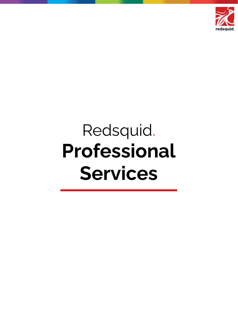

# Redsquid. **Professional Services**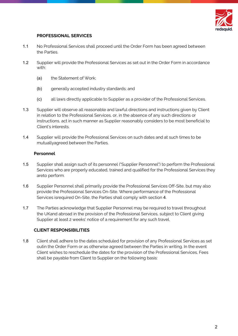

#### **PROFESSIONAL SERVICES**

- 1.1 No Professional Services shall proceed until the Order Form has been agreed between the Parties.
- 1.2 Supplier will provide the Professional Services as set out in the Order Form in accordance with:
	- (a) the Statement of Work;
	- (b) generally accepted industry standards; and
	- (c) all laws directly applicable to Supplier as a provider of the Professional Services.
- 1.3 Supplier will observe all reasonable and lawful directions and instructions given by Client in relation to the Professional Services, or, in the absence of any such directions or instructions, act in such manner as Supplier reasonably considers to be most beneficial to Client's interests.
- 1.4 Supplier will provide the Professional Services on such dates and at such times to be mutuallyagreed between the Parties.

#### **Personnel**

- 1.5 Supplier shall assign such of its personnel ("Supplier Personnel") to perform the Professional Services who are properly educated, trained and qualified for the Professional Services they areto perform.
- 1.6 Supplier Personnel shall primarily provide the Professional Services Off-Site, but may also provide the Professional Services On-Site. Where performance of the Professional Services isrequired On-Site, the Parties shall comply with section 4.
- 1.7 The Parties acknowledge that Supplier Personnel may be required to travel throughout the UKand abroad in the provision of the Professional Services, subject to Client giving Supplier at least 2 weeks' notice of a requirement for any such travel.

#### **CLIENT RESPONSIBILITIES**

1.8 Client shall adhere to the dates scheduled for provision of any Professional Services as set outin the Order Form or as otherwise agreed between the Parties in writing. In the event Client wishes to reschedule the dates for the provision of the Professional Services, Fees shall be payable from Client to Supplier on the following basis: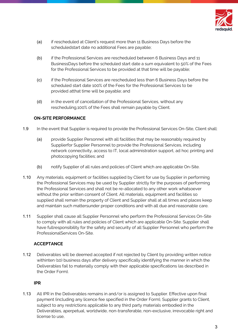

- (a) if rescheduled at Client's request more than 11 Business Days before the scheduledstart date no additional Fees are payable;
- (b) if the Professional Services are rescheduled between 6 Business Days and 11 BusinessDays before the scheduled start date a sum equivalent to 50% of the Fees for the Professional Services to be provided at that time will be payable;
- (c) if the Professional Services are rescheduled less than 6 Business Days before the scheduled start date 100% of the Fees for the Professional Services to be provided atthat time will be payable; and
- (d) in the event of cancellation of the Professional Services, without any rescheduling,100% of the Fees shall remain payable by Client.

### **ON-SITE PERFORMANCE**

- 1.9 In the event that Supplier is required to provide the Professional Services On-Site, Client shall:
	- (a) provide Supplier Personnel with all facilities that may be reasonably required by Supplierfor Supplier Personnel to provide the Professional Services, including network connectivity, access to IT, local administration support, ad hoc printing and photocopying facilities; and
	- (b) notify Supplier of all rules and policies of Client which are applicable On-Site.
- 1.10 Any materials, equipment or facilities supplied by Client for use by Supplier in performing the Professional Services may be used by Supplier strictly for the purposes of performing the Professional Services and shall not be re-allocated to any other work whatsoever without the prior written consent of Client. All materials, equipment and facilities so supplied shall remain the property of Client and Supplier shall at all times and places keep and maintain such mattersunder proper conditions and with all due and reasonable care.
- 1.11 Supplier shall cause all Supplier Personnel who perform the Professional Services On-Site to comply with all rules and policies of Client which are applicable On-Site. Supplier shall have fullresponsibility for the safety and security of all Supplier Personnel who perform the ProfessionalServices On-Site.

## **ACCEPTANCE**

1.12 Deliverables will be deemed accepted if not rejected by Client by providing written notice withinten (10) business days after delivery specifically identifying the manner in which the Deliverables fail to materially comply with their applicable specifications (as described in the Order Form).

### **IPR**

1.13 All IPR in the Deliverables remains in and/or is assigned to Supplier. Effective upon final payment (including any licence fee specified in the Order Form), Supplier grants to Client, subject to any restrictions applicable to any third party materials embodied in the Deliverables, aperpetual, worldwide, non-transferable, non-exclusive, irrevocable right and license to use,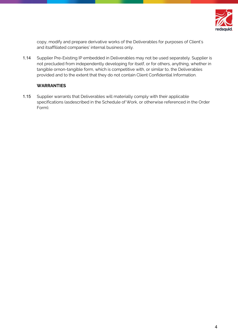

copy, modify and prepare derivative works of the Deliverables for purposes of Client's and itsaffiliated companies' internal business only.

1.14 Supplier Pre-Existing IP embedded in Deliverables may not be used separately. Supplier is not precluded from independently developing for itself, or for others, anything, whether in tangible ornon-tangible form, which is competitive with, or similar to, the Deliverables provided and to the extent that they do not contain Client Confidential Information.

### **WARRANTIES**

1.15 Supplier warrants that Deliverables will materially comply with their applicable specifications (asdescribed in the Schedule of Work, or otherwise referenced in the Order Form).